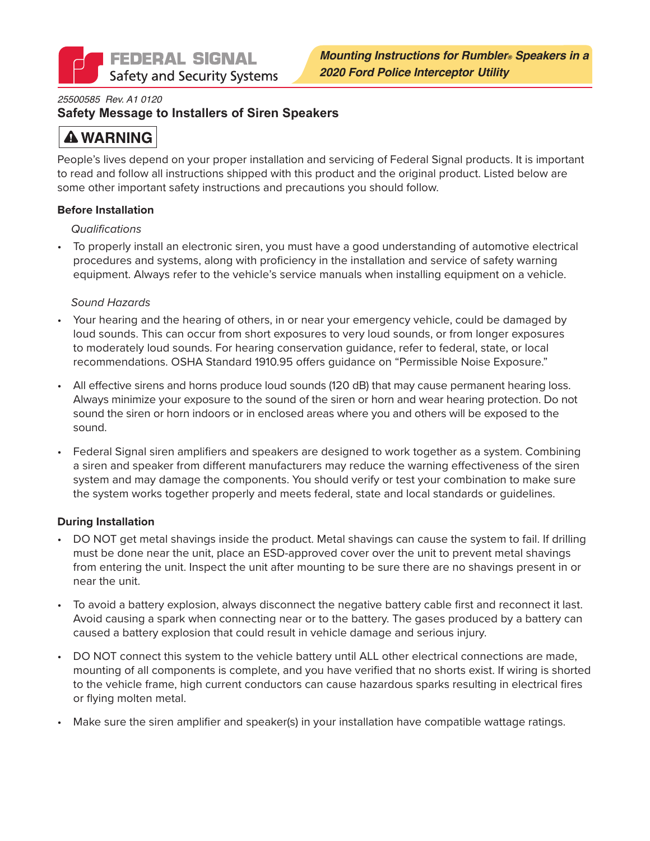

### *25500585 Rev. A1 0120*

### **Safety Message to Installers of Siren Speakers**

# **A WARNING**

People's lives depend on your proper installation and servicing of Federal Signal products. It is important to read and follow all instructions shipped with this product and the original product. Listed below are some other important safety instructions and precautions you should follow.

### **Before Installation**

### *Qualifications*

• To properly install an electronic siren, you must have a good understanding of automotive electrical procedures and systems, along with proficiency in the installation and service of safety warning equipment. Always refer to the vehicle's service manuals when installing equipment on a vehicle.

### *Sound Hazards*

- Your hearing and the hearing of others, in or near your emergency vehicle, could be damaged by loud sounds. This can occur from short exposures to very loud sounds, or from longer exposures to moderately loud sounds. For hearing conservation guidance, refer to federal, state, or local recommendations. OSHA Standard 1910.95 offers guidance on "Permissible Noise Exposure."
- All effective sirens and horns produce loud sounds (120 dB) that may cause permanent hearing loss. Always minimize your exposure to the sound of the siren or horn and wear hearing protection. Do not sound the siren or horn indoors or in enclosed areas where you and others will be exposed to the sound.
- Federal Signal siren amplifiers and speakers are designed to work together as a system. Combining a siren and speaker from different manufacturers may reduce the warning effectiveness of the siren system and may damage the components. You should verify or test your combination to make sure the system works together properly and meets federal, state and local standards or guidelines.

### **During Installation**

- DO NOT get metal shavings inside the product. Metal shavings can cause the system to fail. If drilling must be done near the unit, place an ESD-approved cover over the unit to prevent metal shavings from entering the unit. Inspect the unit after mounting to be sure there are no shavings present in or near the unit.
- To avoid a battery explosion, always disconnect the negative battery cable first and reconnect it last. Avoid causing a spark when connecting near or to the battery. The gases produced by a battery can caused a battery explosion that could result in vehicle damage and serious injury.
- DO NOT connect this system to the vehicle battery until ALL other electrical connections are made, mounting of all components is complete, and you have verified that no shorts exist. If wiring is shorted to the vehicle frame, high current conductors can cause hazardous sparks resulting in electrical fires or flying molten metal.
- Make sure the siren amplifier and speaker(s) in your installation have compatible wattage ratings.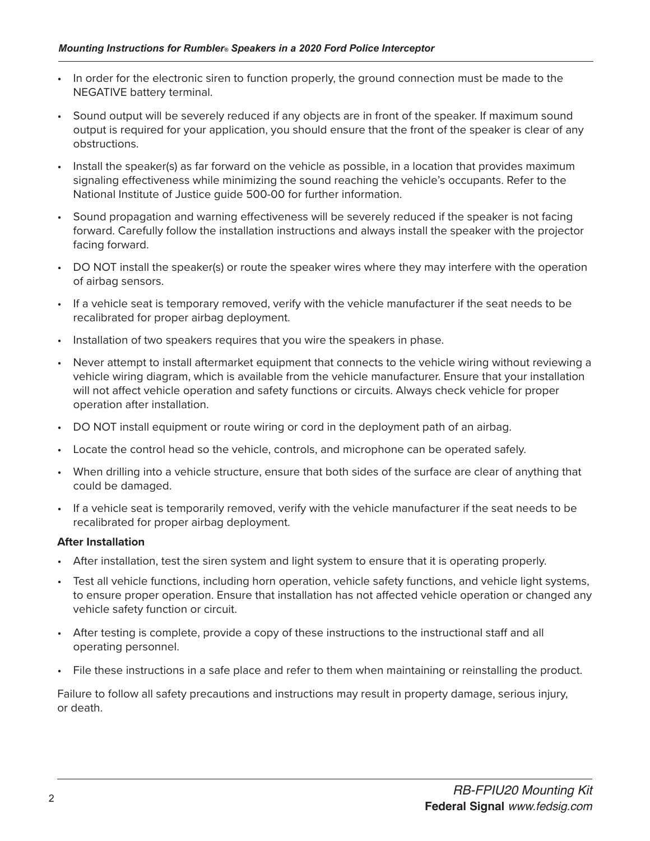- In order for the electronic siren to function properly, the ground connection must be made to the NEGATIVE battery terminal.
- Sound output will be severely reduced if any objects are in front of the speaker. If maximum sound output is required for your application, you should ensure that the front of the speaker is clear of any obstructions.
- Install the speaker(s) as far forward on the vehicle as possible, in a location that provides maximum signaling effectiveness while minimizing the sound reaching the vehicle's occupants. Refer to the National Institute of Justice guide 500-00 for further information.
- Sound propagation and warning effectiveness will be severely reduced if the speaker is not facing forward. Carefully follow the installation instructions and always install the speaker with the projector facing forward.
- DO NOT install the speaker(s) or route the speaker wires where they may interfere with the operation of airbag sensors.
- If a vehicle seat is temporary removed, verify with the vehicle manufacturer if the seat needs to be recalibrated for proper airbag deployment.
- Installation of two speakers requires that you wire the speakers in phase.
- Never attempt to install aftermarket equipment that connects to the vehicle wiring without reviewing a vehicle wiring diagram, which is available from the vehicle manufacturer. Ensure that your installation will not affect vehicle operation and safety functions or circuits. Always check vehicle for proper operation after installation.
- DO NOT install equipment or route wiring or cord in the deployment path of an airbag.
- Locate the control head so the vehicle, controls, and microphone can be operated safely.
- When drilling into a vehicle structure, ensure that both sides of the surface are clear of anything that could be damaged.
- If a vehicle seat is temporarily removed, verify with the vehicle manufacturer if the seat needs to be recalibrated for proper airbag deployment.

### **After Installation**

- After installation, test the siren system and light system to ensure that it is operating properly.
- Test all vehicle functions, including horn operation, vehicle safety functions, and vehicle light systems, to ensure proper operation. Ensure that installation has not affected vehicle operation or changed any vehicle safety function or circuit.
- After testing is complete, provide a copy of these instructions to the instructional staff and all operating personnel.
- File these instructions in a safe place and refer to them when maintaining or reinstalling the product.

Failure to follow all safety precautions and instructions may result in property damage, serious injury, or death.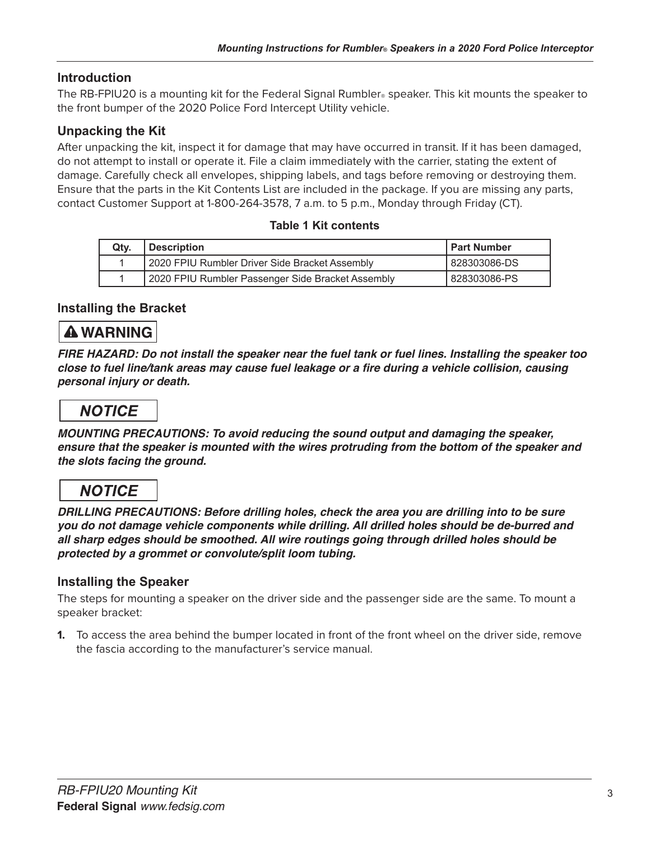## **Introduction**

The RB-FPIU20 is a mounting kit for the Federal Signal Rumbler. speaker. This kit mounts the speaker to the front bumper of the 2020 Police Ford Intercept Utility vehicle.

### **Unpacking the Kit**

After unpacking the kit, inspect it for damage that may have occurred in transit. If it has been damaged, do not attempt to install or operate it. File a claim immediately with the carrier, stating the extent of damage. Carefully check all envelopes, shipping labels, and tags before removing or destroying them. Ensure that the parts in the Kit Contents List are included in the package. If you are missing any parts, contact Customer Support at 1-800-264-3578, 7 a.m. to 5 p.m., Monday through Friday (CT).

### **Table 1 Kit contents**

|  | Qty. | <b>Description</b>                                | <b>I Part Number</b> |
|--|------|---------------------------------------------------|----------------------|
|  |      | 2020 FPIU Rumbler Driver Side Bracket Assembly    | l 828303086-DS       |
|  |      | 2020 FPIU Rumbler Passenger Side Bracket Assembly | 828303086-PS         |

### **Installing the Bracket**

# **A WARNING**

*FIRE HAZARD: Do not install the speaker near the fuel tank or fuel lines. Installing the speaker too*  **close to fuel line/tank areas may cause fuel leakage or a fire during a vehicle collision, causing**  *personal injury or death.*

# **NOTICE**

**MOUNTING PRECAUTIONS: To avoid reducing the sound output and damaging the speaker,**  *ensure that the speaker is mounted with the wires protruding from the bottom of the speaker and the slots facing the ground.* 

## **NOTICE**

**DRILLING PRECAUTIONS: Before drilling holes, check the area you are drilling into to be sure you do not damage vehicle components while drilling. All drilled holes should be de-burred and**  *all sharp edges should be smoothed. All wire routings going through drilled holes should be*  **protected by a grommet or convolute/split loom tubing.**

### **Installing the Speaker**

The steps for mounting a speaker on the driver side and the passenger side are the same. To mount a speaker bracket:

**1.** To access the area behind the bumper located in front of the front wheel on the driver side, remove the fascia according to the manufacturer's service manual.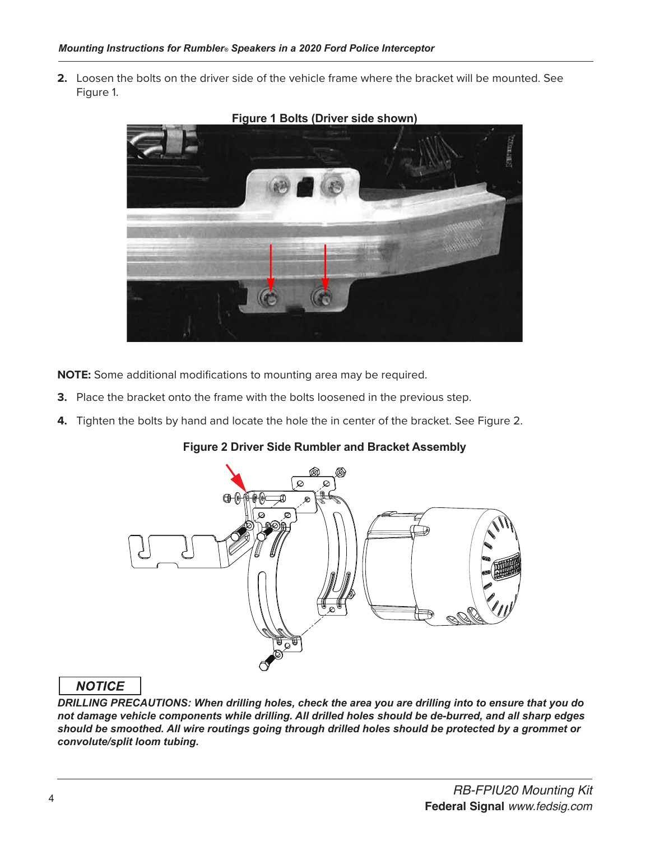**2.** Loosen the bolts on the driver side of the vehicle frame where the bracket will be mounted. See Figure 1.



#### **Figure 1 Bolts (Driver side shown)**

**NOTE:** Some additional modifications to mounting area may be required.

- **3.** Place the bracket onto the frame with the bolts loosened in the previous step.
- **4.** Tighten the bolts by hand and locate the hole the in center of the bracket. See Figure 2.

### **Figure 2 Driver Side Rumbler and Bracket Assembly**



### **NOTICE**

*DRILLING PRECAUTIONS: When drilling holes, check the area you are drilling into to ensure that you do not damage vehicle components while drilling. All drilled holes should be de-burred, and all sharp edges should be smoothed. All wire routings going through drilled holes should be protected by a grommet or convolute/split loom tubing.*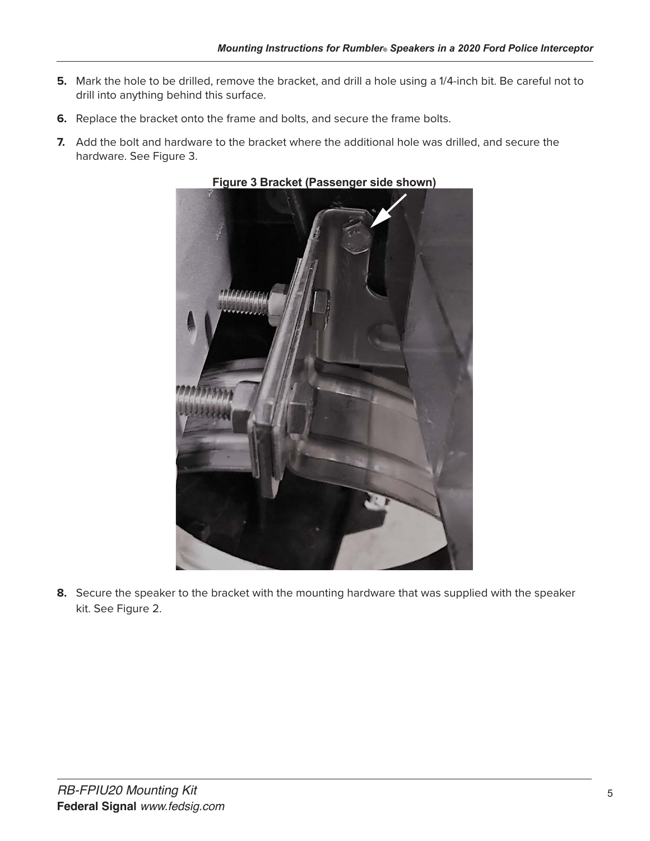- **5.** Mark the hole to be drilled, remove the bracket, and drill a hole using a 1/4-inch bit. Be careful not to drill into anything behind this surface.
- **6.** Replace the bracket onto the frame and bolts, and secure the frame bolts.
- **7.** Add the bolt and hardware to the bracket where the additional hole was drilled, and secure the hardware. See Figure 3.



**Figure 3 Bracket (Passenger side shown)**

**8.** Secure the speaker to the bracket with the mounting hardware that was supplied with the speaker kit. See Figure 2.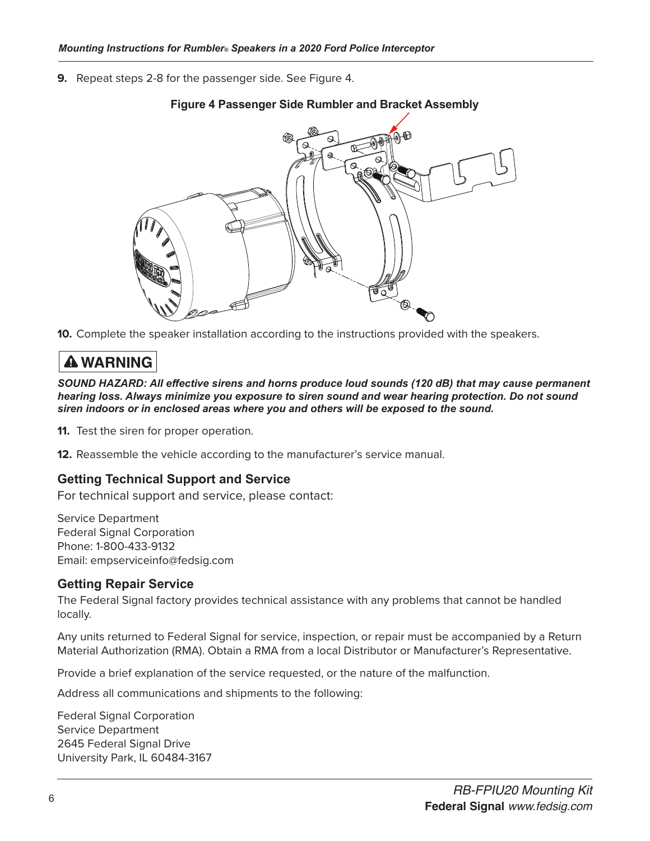**9.** Repeat steps 2-8 for the passenger side. See Figure 4.



### **Figure 4 Passenger Side Rumbler and Bracket Assembly**

**10.** Complete the speaker installation according to the instructions provided with the speakers.

# **A WARNING**

*SOUND HAZARD: All effective sirens and horns produce loud sounds (120 dB) that may cause permanent hearing loss. Always minimize you exposure to siren sound and wear hearing protection. Do not sound siren indoors or in enclosed areas where you and others will be exposed to the sound.*

**11.** Test the siren for proper operation.

**12.** Reassemble the vehicle according to the manufacturer's service manual.

### **Getting Technical Support and Service**

For technical support and service, please contact:

Service Department Federal Signal Corporation Phone: 1-800-433-9132 Email: empserviceinfo@fedsig.com

### **Getting Repair Service**

The Federal Signal factory provides technical assistance with any problems that cannot be handled locally.

Any units returned to Federal Signal for service, inspection, or repair must be accompanied by a Return Material Authorization (RMA). Obtain a RMA from a local Distributor or Manufacturer's Representative.

Provide a brief explanation of the service requested, or the nature of the malfunction.

Address all communications and shipments to the following:

Federal Signal Corporation Service Department 2645 Federal Signal Drive University Park, IL 60484-3167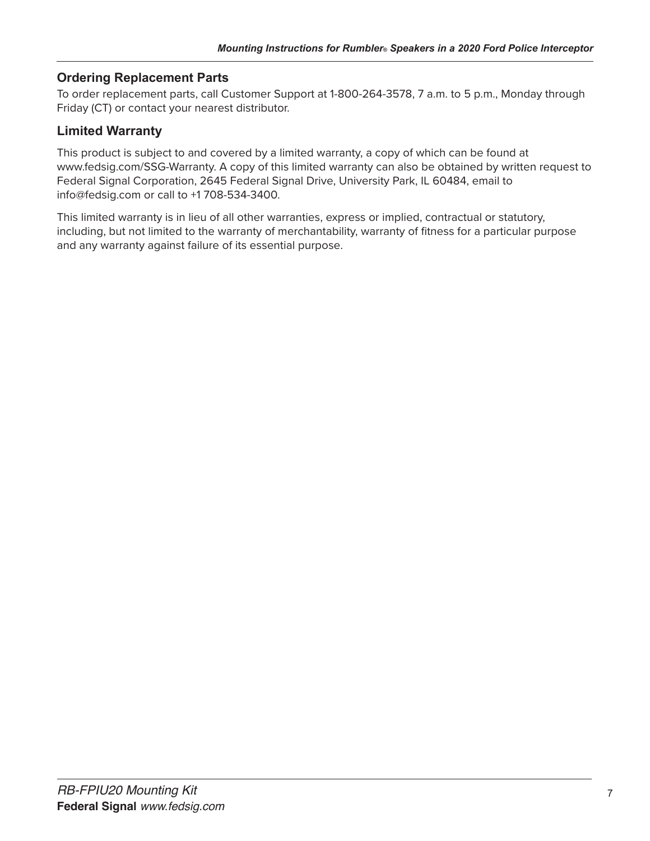## **Ordering Replacement Parts**

To order replacement parts, call Customer Support at 1-800-264-3578, 7 a.m. to 5 p.m., Monday through Friday (CT) or contact your nearest distributor.

## **Limited Warranty**

This product is subject to and covered by a limited warranty, a copy of which can be found at www.fedsig.com/SSG-Warranty. A copy of this limited warranty can also be obtained by written request to Federal Signal Corporation, 2645 Federal Signal Drive, University Park, IL 60484, email to info@fedsig.com or call to +1 708-534-3400.

This limited warranty is in lieu of all other warranties, express or implied, contractual or statutory, including, but not limited to the warranty of merchantability, warranty of fitness for a particular purpose and any warranty against failure of its essential purpose.